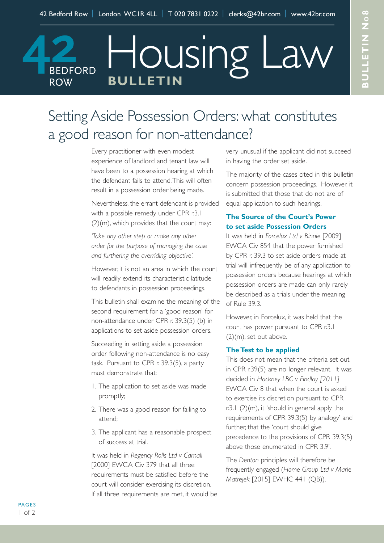# Setting Aside Possession Orders: what constitutes

Housing Law

# a good reason for non-attendance?

**BULLETIN**

**BEDFORD** 

**ROW** 

Every practitioner with even modest experience of landlord and tenant law will have been to a possession hearing at which the defendant fails to attend.This will often result in a possession order being made.

Nevertheless, the errant defendant is provided with a possible remedy under CPR r.3.1 (2)(m), which provides that the court may:

*'Take any other step or make any other order for the purpose of managing the case and furthering the overriding objective'.*

However, it is not an area in which the court will readily extend its characteristic latitude to defendants in possession proceedings.

This bulletin shall examine the meaning of the second requirement for a 'good reason' for non-attendance under CPR r. 39.3(5) (b) in applications to set aside possession orders.

Succeeding in setting aside a possession order following non-attendance is no easy task. Pursuant to CPR r. 39.3(5), a party must demonstrate that:

- 1. The application to set aside was made promptly;
- 2. There was a good reason for failing to attend;
- 3. The applicant has a reasonable prospect of success at trial.

It was held in *Regency Rolls Ltd v Carnall* [2000] EWCA Civ 379 that all three requirements must be satisfied before the court will consider exercising its discretion. If all three requirements are met, it would be very unusual if the applicant did not succeed in having the order set aside.

The majority of the cases cited in this bulletin concern possession proceedings. However, it is submitted that those that do not are of equal application to such hearings.

# **The Source of the Court's Power to set aside Possession Orders**

It was held in *Forcelux Ltd v Binnie* [2009] EWCA Civ 854 that the power furnished by CPR r. 39.3 to set aside orders made at trial will infrequently be of any application to possession orders because hearings at which possession orders are made can only rarely be described as a trials under the meaning of Rule 39.3.

However, in Forcelux, it was held that the court has power pursuant to CPR r.3.1 (2)(m), set out above.

#### **The Test to be applied**

This does not mean that the criteria set out in CPR r.39(5) are no longer relevant. It was decided in *Hackney LBC v Findlay [2011]* EWCA Civ 8 that when the court is asked to exercise its discretion pursuant to CPR r.3.1 (2)(m), it 'should in general apply the requirements of CPR 39.3(5) by analogy' and further, that the 'court should give precedence to the provisions of CPR 39.3(5) above those enumerated in CPR 3.9'.

The *Denton* principles will therefore be frequently engaged (*Home Group Ltd v Marie Matrejek* [2015] EWHC 441 (QB)).